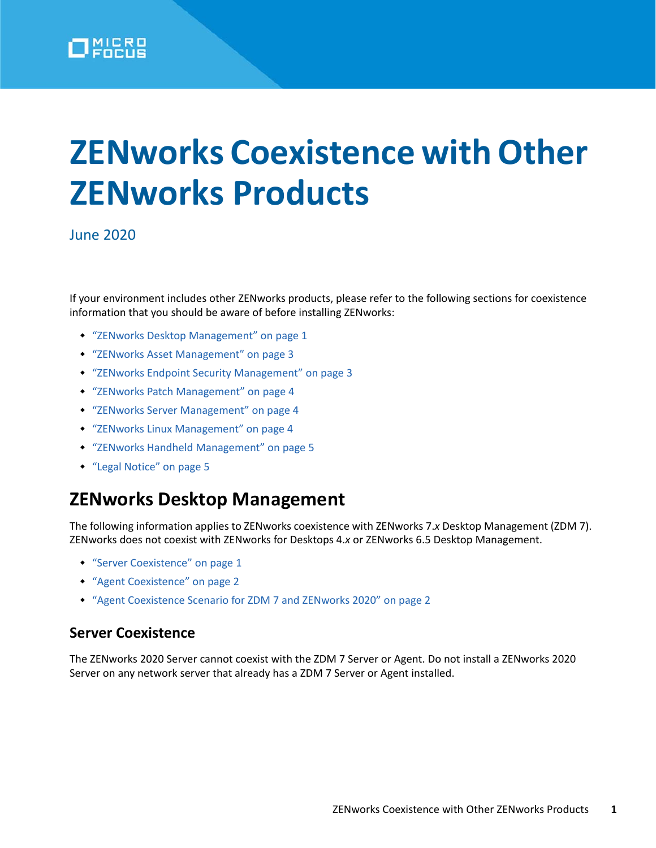

# **ZENworks Coexistence with Other ZENworks Products**

#### June 2020

If your environment includes other ZENworks products, please refer to the following sections for coexistence information that you should be aware of before installing ZENworks:

- ["ZENworks Desktop Management" on page 1](#page-0-1)
- ["ZENworks Asset Management" on page 3](#page-2-1)
- ["ZENworks Endpoint Security Management" on page 3](#page-2-0)
- ["ZENworks Patch Management" on page 4](#page-3-0)
- ["ZENworks Server Management" on page 4](#page-3-1)
- ["ZENworks Linux Management" on page 4](#page-3-2)
- ["ZENworks Handheld Management" on page 5](#page-4-1)
- ◆ ["Legal Notice" on page 5](#page-4-0)

## <span id="page-0-1"></span>**ZENworks Desktop Management**

The following information applies to ZENworks coexistence with ZENworks 7.*x* Desktop Management (ZDM 7). ZENworks does not coexist with ZENworks for Desktops 4.*x* or ZENworks 6.5 Desktop Management.

- ["Server Coexistence" on page 1](#page-0-0)
- ["Agent Coexistence" on page 2](#page-1-0)
- ["Agent Coexistence Scenario for ZDM 7 and ZENworks 2020" on page 2](#page-1-1)

#### <span id="page-0-0"></span>**Server Coexistence**

The ZENworks 2020 Server cannot coexist with the ZDM 7 Server or Agent. Do not install a ZENworks 2020 Server on any network server that already has a ZDM 7 Server or Agent installed.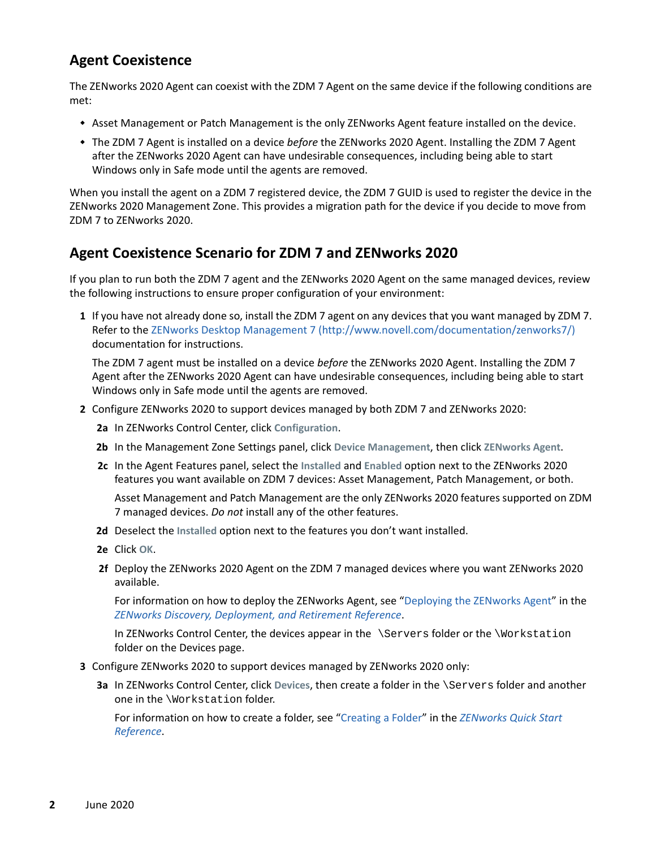## <span id="page-1-0"></span>**Agent Coexistence**

The ZENworks 2020 Agent can coexist with the ZDM 7 Agent on the same device if the following conditions are met:

- Asset Management or Patch Management is the only ZENworks Agent feature installed on the device.
- The ZDM 7 Agent is installed on a device *before* the ZENworks 2020 Agent. Installing the ZDM 7 Agent after the ZENworks 2020 Agent can have undesirable consequences, including being able to start Windows only in Safe mode until the agents are removed.

When you install the agent on a ZDM 7 registered device, the ZDM 7 GUID is used to register the device in the ZENworks 2020 Management Zone. This provides a migration path for the device if you decide to move from ZDM 7 to ZENworks 2020.

### <span id="page-1-1"></span>**Agent Coexistence Scenario for ZDM 7 and ZENworks 2020**

If you plan to run both the ZDM 7 agent and the ZENworks 2020 Agent on the same managed devices, review the following instructions to ensure proper configuration of your environment:

**1** If you have not already done so, install the ZDM 7 agent on any devices that you want managed by ZDM 7. Refer to the [ZENworks Desktop Management 7](http://www.novell.com/documentation/zenworks7/) (http://www.novell.com/documentation/zenworks7/) documentation for instructions.

The ZDM 7 agent must be installed on a device *before* the ZENworks 2020 Agent. Installing the ZDM 7 Agent after the ZENworks 2020 Agent can have undesirable consequences, including being able to start Windows only in Safe mode until the agents are removed.

- **2** Configure ZENworks 2020 to support devices managed by both ZDM 7 and ZENworks 2020:
	- **2a** In ZENworks Control Center, click **Configuration**.
	- **2b** In the Management Zone Settings panel, click **Device Management**, then click **ZENworks Agent**.
	- **2c** In the Agent Features panel, select the **Installed** and **Enabled** option next to the ZENworks 2020 features you want available on ZDM 7 devices: Asset Management, Patch Management, or both.

Asset Management and Patch Management are the only ZENworks 2020 features supported on ZDM 7 managed devices. *Do not* install any of the other features.

- **2d** Deselect the **Installed** option next to the features you don't want installed.
- **2e** Click **OK**.
- **2f** Deploy the ZENworks 2020 Agent on the ZDM 7 managed devices where you want ZENworks 2020 available.

For information on how to deploy the ZENworks Agent, see "[Deploying the ZENworks Agent](https://www.novell.com/documentation/zenworks-2020/pdfdoc/zen_discovery_deployment/zen_discovery_deployment.pdf#bawxaij)" in the *[ZENworks Discovery, Deployment, and Retirement Reference](https://www.novell.com/documentation/zenworks-2020/pdfdoc/zen_discovery_deployment/zen_discovery_deployment.pdf#bookinfo)*.

In ZENworks Control Center, the devices appear in the \Servers folder or the \Workstation folder on the Devices page.

- **3** Configure ZENworks 2020 to support devices managed by ZENworks 2020 only:
	- **3a** In ZENworks Control Center, click **Devices**, then create a folder in the \Servers folder and another one in the \Workstation folder.

For information on how to create a folder, see ["Creating a Folder](https://www.novell.com/documentation/zenworks-2020/pdfdoc/zen_quickstart/zen_quickstart.pdf#ba7ommu)" in the *[ZENworks Quick Start](https://www.novell.com/documentation/zenworks-2020/pdfdoc/zen_quickstart/zen_quickstart.pdf#bookinfo)  [Reference](https://www.novell.com/documentation/zenworks-2020/pdfdoc/zen_quickstart/zen_quickstart.pdf#bookinfo)*.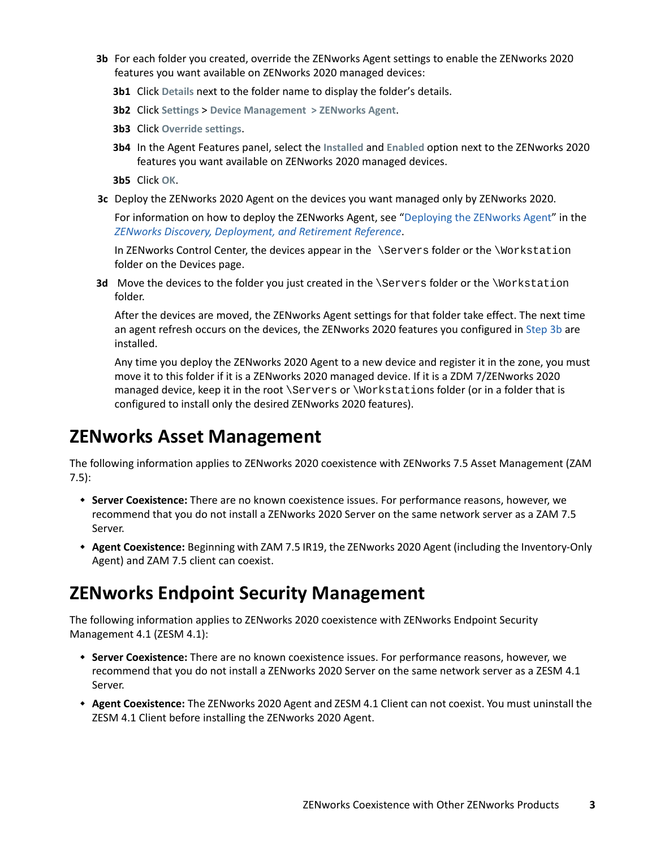- <span id="page-2-2"></span>**3b** For each folder you created, override the ZENworks Agent settings to enable the ZENworks 2020 features you want available on ZENworks 2020 managed devices:
	- **3b1** Click **Details** next to the folder name to display the folder's details.
	- **3b2** Click **Settings** > **Device Management > ZENworks Agent**.
	- **3b3** Click **Override settings**.
	- **3b4** In the Agent Features panel, select the **Installed** and **Enabled** option next to the ZENworks 2020 features you want available on ZENworks 2020 managed devices.
	- **3b5** Click **OK**.
- **3c** Deploy the ZENworks 2020 Agent on the devices you want managed only by ZENworks 2020.

For information on how to deploy the ZENworks Agent, see "[Deploying the ZENworks Agent](https://www.novell.com/documentation/zenworks-2020/pdfdoc/zen_discovery_deployment/zen_discovery_deployment.pdf#bawxaij)" in the *[ZENworks Discovery, Deployment, and Retirement Reference](https://www.novell.com/documentation/zenworks-2020/pdfdoc/zen_discovery_deployment/zen_discovery_deployment.pdf#bookinfo)*.

In ZENworks Control Center, the devices appear in the \Servers folder or the \Workstation folder on the Devices page.

**3d** Move the devices to the folder you just created in the \Servers folder or the \Workstation folder.

After the devices are moved, the ZENworks Agent settings for that folder take effect. The next time an agent refresh occurs on the devices, the ZENworks 2020 features you configured in [Step 3b](#page-2-2) are installed.

Any time you deploy the ZENworks 2020 Agent to a new device and register it in the zone, you must move it to this folder if it is a ZENworks 2020 managed device. If it is a ZDM 7/ZENworks 2020 managed device, keep it in the root \Servers or \Workstations folder (or in a folder that is configured to install only the desired ZENworks 2020 features).

## <span id="page-2-1"></span>**ZENworks Asset Management**

The following information applies to ZENworks 2020 coexistence with ZENworks 7.5 Asset Management (ZAM 7.5):

- **Server Coexistence:** There are no known coexistence issues. For performance reasons, however, we recommend that you do not install a ZENworks 2020 Server on the same network server as a ZAM 7.5 Server.
- **Agent Coexistence:** Beginning with ZAM 7.5 IR19, the ZENworks 2020 Agent (including the Inventory-Only Agent) and ZAM 7.5 client can coexist.

## <span id="page-2-0"></span>**ZENworks Endpoint Security Management**

The following information applies to ZENworks 2020 coexistence with ZENworks Endpoint Security Management 4.1 (ZESM 4.1):

- **Server Coexistence:** There are no known coexistence issues. For performance reasons, however, we recommend that you do not install a ZENworks 2020 Server on the same network server as a ZESM 4.1 Server.
- **Agent Coexistence:** The ZENworks 2020 Agent and ZESM 4.1 Client can not coexist. You must uninstall the ZESM 4.1 Client before installing the ZENworks 2020 Agent.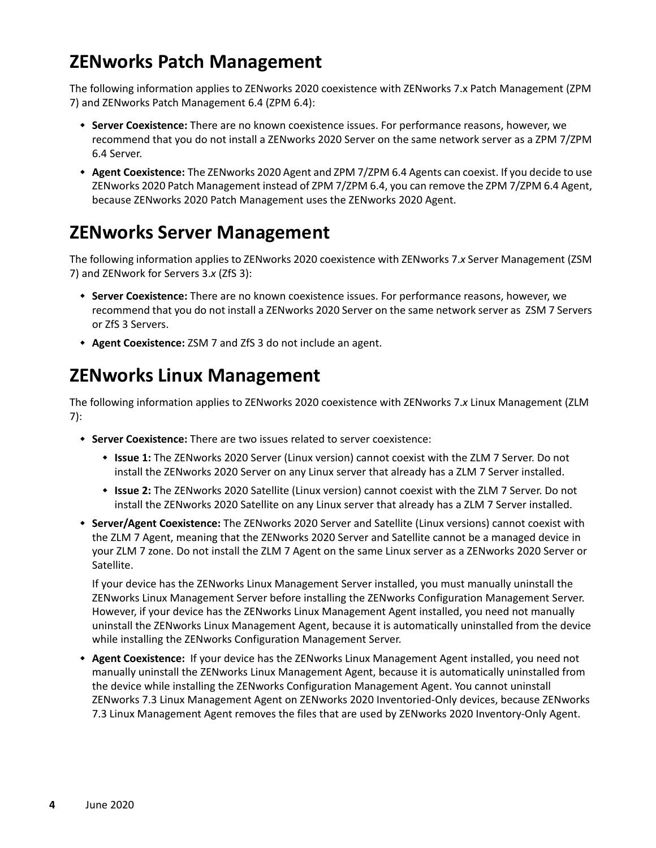# <span id="page-3-0"></span>**ZENworks Patch Management**

The following information applies to ZENworks 2020 coexistence with ZENworks 7.x Patch Management (ZPM 7) and ZENworks Patch Management 6.4 (ZPM 6.4):

- **Server Coexistence:** There are no known coexistence issues. For performance reasons, however, we recommend that you do not install a ZENworks 2020 Server on the same network server as a ZPM 7/ZPM 6.4 Server.
- **Agent Coexistence:** The ZENworks 2020 Agent and ZPM 7/ZPM 6.4 Agents can coexist. If you decide to use ZENworks 2020 Patch Management instead of ZPM 7/ZPM 6.4, you can remove the ZPM 7/ZPM 6.4 Agent, because ZENworks 2020 Patch Management uses the ZENworks 2020 Agent.

# <span id="page-3-1"></span>**ZENworks Server Management**

The following information applies to ZENworks 2020 coexistence with ZENworks 7.*x* Server Management (ZSM 7) and ZENwork for Servers 3.*x* (ZfS 3):

- **Server Coexistence:** There are no known coexistence issues. For performance reasons, however, we recommend that you do not install a ZENworks 2020 Server on the same network server as ZSM 7 Servers or ZfS 3 Servers.
- **Agent Coexistence:** ZSM 7 and ZfS 3 do not include an agent.

# <span id="page-3-2"></span>**ZENworks Linux Management**

The following information applies to ZENworks 2020 coexistence with ZENworks 7.*x* Linux Management (ZLM 7):

- **Server Coexistence:** There are two issues related to server coexistence:
	- **Issue 1:** The ZENworks 2020 Server (Linux version) cannot coexist with the ZLM 7 Server. Do not install the ZENworks 2020 Server on any Linux server that already has a ZLM 7 Server installed.
	- **Issue 2:** The ZENworks 2020 Satellite (Linux version) cannot coexist with the ZLM 7 Server. Do not install the ZENworks 2020 Satellite on any Linux server that already has a ZLM 7 Server installed.
- **Server/Agent Coexistence:** The ZENworks 2020 Server and Satellite (Linux versions) cannot coexist with the ZLM 7 Agent, meaning that the ZENworks 2020 Server and Satellite cannot be a managed device in your ZLM 7 zone. Do not install the ZLM 7 Agent on the same Linux server as a ZENworks 2020 Server or Satellite.

If your device has the ZENworks Linux Management Server installed, you must manually uninstall the ZENworks Linux Management Server before installing the ZENworks Configuration Management Server. However, if your device has the ZENworks Linux Management Agent installed, you need not manually uninstall the ZENworks Linux Management Agent, because it is automatically uninstalled from the device while installing the ZENworks Configuration Management Server.

 **Agent Coexistence:** If your device has the ZENworks Linux Management Agent installed, you need not manually uninstall the ZENworks Linux Management Agent, because it is automatically uninstalled from the device while installing the ZENworks Configuration Management Agent. You cannot uninstall ZENworks 7.3 Linux Management Agent on ZENworks 2020 Inventoried-Only devices, because ZENworks 7.3 Linux Management Agent removes the files that are used by ZENworks 2020 Inventory-Only Agent.